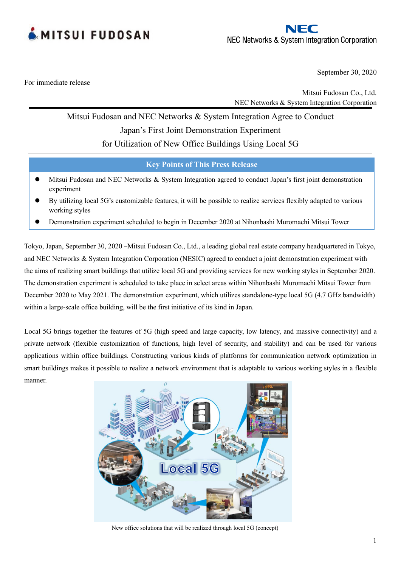



September 30, 2020

For immediate release

Mitsui Fudosan Co., Ltd. NEC Networks & System Integration Corporation

# Mitsui Fudosan and NEC Networks & System Integration Agree to Conduct Japan's First Joint Demonstration Experiment

for Utilization of New Office Buildings Using Local 5G

**Key Points of This Press Release**

- Mitsui Fudosan and NEC Networks & System Integration agreed to conduct Japan's first joint demonstration experiment
- ⚫ By utilizing local 5G's customizable features, it will be possible to realize services flexibly adapted to various working styles
- ⚫ Demonstration experiment scheduled to begin in December 2020 at Nihonbashi Muromachi Mitsui Tower

Tokyo, Japan, September 30, 2020 –Mitsui Fudosan Co., Ltd., a leading global real estate company headquartered in Tokyo, and NEC Networks & System Integration Corporation (NESIC) agreed to conduct a joint demonstration experiment with the aims of realizing smart buildings that utilize local 5G and providing services for new working styles in September 2020. The demonstration experiment is scheduled to take place in select areas within Nihonbashi Muromachi Mitsui Tower from December 2020 to May 2021. The demonstration experiment, which utilizes standalone-type local 5G (4.7 GHz bandwidth) within a large-scale office building, will be the first initiative of its kind in Japan.

Local 5G brings together the features of 5G (high speed and large capacity, low latency, and massive connectivity) and a private network (flexible customization of functions, high level of security, and stability) and can be used for various applications within office buildings. Constructing various kinds of platforms for communication network optimization in smart buildings makes it possible to realize a network environment that is adaptable to various working styles in a flexible manner.



New office solutions that will be realized through local 5G (concept)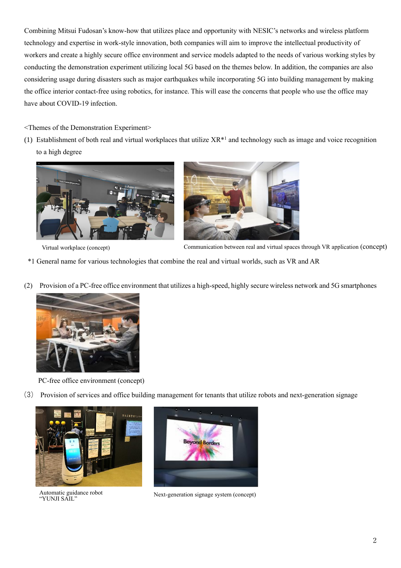Combining Mitsui Fudosan's know-how that utilizes place and opportunity with NESIC's networks and wireless platform technology and expertise in work-style innovation, both companies will aim to improve the intellectual productivity of workers and create a highly secure office environment and service models adapted to the needs of various working styles by conducting the demonstration experiment utilizing local 5G based on the themes below. In addition, the companies are also considering usage during disasters such as major earthquakes while incorporating 5G into building management by making the office interior contact-free using robotics, for instance. This will ease the concerns that people who use the office may have about COVID-19 infection.

# <Themes of the Demonstration Experiment>

(1) Establishment of both real and virtual workplaces that utilize  $XR^*$  and technology such as image and voice recognition to a high degree





Virtual workplace (concept) Communication between real and virtual spaces through VR application (concept)

- \*1 General name for various technologies that combine the real and virtual worlds, such as VR and AR
- (2) Provision of a PC-free office environment that utilizes a high-speed, highly secure wireless network and 5G smartphones



PC-free office environment (concept)

(3) Provision of services and office building management for tenants that utilize robots and next-generation signage



Automatic guidance robot "YUNJI SAIL"



Next-generation signage system (concept)